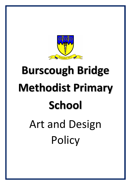

# **Burscough Bridge Methodist Primary School** Art and Design **Policy**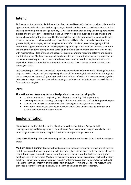# **Intent**

At Burscough Bridge Methodist Primary School our Art and Design Curriculum provides children with opportunities to develop their skills using a range of media and materials. Children learn the skills of drawing, painting, printing, collage, textiles, 3D work and digital art and are given the opportunity to explore and evaluate different creative ideas. Children will be introduced to a range of works and develop knowledge of the styles used by famous artists. The skills they acquire are applied to their cross-curricular topics, allowing children to use their art skills to reflect on and explore topics in greater depth; for example, by sketching historical artefacts in detail, researching geographical locations to support their work on landscape painting or using art as a medium to express emotion and thought to enhance their personal, social and emotional development. Many areas of art link with mathematical ideas of shape and space; for example, printing repeating patterns and designs and thinking about 3D shapes to support structures. It is paramount that art work is purposeful; be this as a means of expression or to explore the styles of other artists that inspire our own work. Pupils should be clear what the intended outcomes are and have a means to measure their own work against this.

In Art and Design, children are expected to be reflective and evaluate their work, thinking about how they can make changes and keep improving. This should be meaningful and continuous throughout the process, with evidence of age-related verbal and written reflection. Children are encouraged to take risks and experiment and then reflect on why some ideas and techniques are successful or not for a particular project.

# **Aims**

## **The national curriculum for Art and Design aims to ensure that all pupils:**

- produce creative work, exploring their ideas and recording their experiences
- become proficient in drawing, painting, sculpture and other art, craft and design techniques
- evaluate and analyse creative works using the language of art, craft and design
- know about great artists, craft makers and designers, and understand the historical and cultural development of their art forms

# **Implementation**

**Planning:** All staff are briefed on the planning procedures for Art and Design in staff training/meetings and through email communication. Teachers are encouraged to make links to other subject areas, whilst ensuring that children learn explicit subject content.

**Long Term Planning:** The curriculum map outlines the units and focuses to be taught in each year group.

**Medium Term Planning:** Teachers should complete a medium-term plan for each unit of work so that they can plan for clear progression. Medium term plans will be shared with the subject leader to ensure there is progression between years. These may then be shared with all staff during staff meetings and with Governors. Medium term plans should provide of overview of each unit of study, breaking it down into individual lesson or 'chunks' of learning. As a starting point, teachers should look at the learning content within the National Curriculum for Art and Design. The medium-term plan should identify learning objectives, main learning activities and differentiation.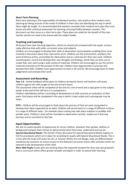#### **Short Term Planning:**

Short term planning is the responsibility of individual teachers, who build on their medium-term planning by taking account of the needs of children in their class and identifying the way in which ideas might be taught. It is recommended that teachers annotate their medium-term plan after each lesson and after continual assessment for learning, ensuring fluidity between sessions. This document can then serve as a short-term plan. These plans are solely for the benefit of the class teacher and do not need to be shared with the subject leader.

#### **Teaching and Learning:**

All lessons have clear learning objectives, which are shared and reviewed with the pupils. Lessons make effective links with other curriculum areas and subjects.

Children are encouraged to develop their skills of observation and evaluation enabling them to be involved in discussion about their own works of art. Children use the environment, artefacts, the work of famous artists, and textiles for observation and as a stimulus for their own work. Children should express, record and develop their own thoughts and feelings, which they can then use to create their own work using a wide variety of materials. Children are encouraged to use the correct materials and tools to fit the purpose of the task. Children have opportunities to practise and develop their skills. Children have opportunities to work in 2D and 3D. We encourage them to make judgements and evaluate their work.

#### **Assessment and Recording:**

**Year 1-6 -** Verbal feedback will be given to children during the lesson and teachers will assess children against the skills taught at the end of each lesson.

The assessment sheet will be completed at the end of a unit of work and a copy given to the subject leader at the end of the half term it is completed in.

Children sketchbooks will be a recording of development of skills and also an evaluation of their work. Final pieces will be completed in the way in which is best suited and a photograph may be taken.

**EYFS –** Children will be encouraged to think about the process of their art work and guided to develop their ideas supported by an adult. Children will record work on a range of different surfaces in a range of different ways – for example colour mixing may take place outdoors in puddles with powder paint. Children's work will be recorded on observation records, maybe put in learning journeys and or recorded on See Saw.

#### **Equal Opportunities:**

We aim to create equality of opportunity for all our children, whatever their gender, abilities or background and give them chance to demonstrate what they know, understand and can do. **Special Educational Needs:** The School's Policy document for Special Educational Needs explains in full the procedures which are in place for providing for pupils with Special Educational Needs. This is in line with the Code of Practice for all L.A. Schools. Within Art and Design, tasks are differentiatedsometimes by outcome- to ensure access to the National Curriculum and to offer activities which are relevant to the development of the child.

**More Able Pupils:** Pupils who are working above the expected standard for their year group benefit from a curriculum which offers greater breadth and depth in order to extend their learning.